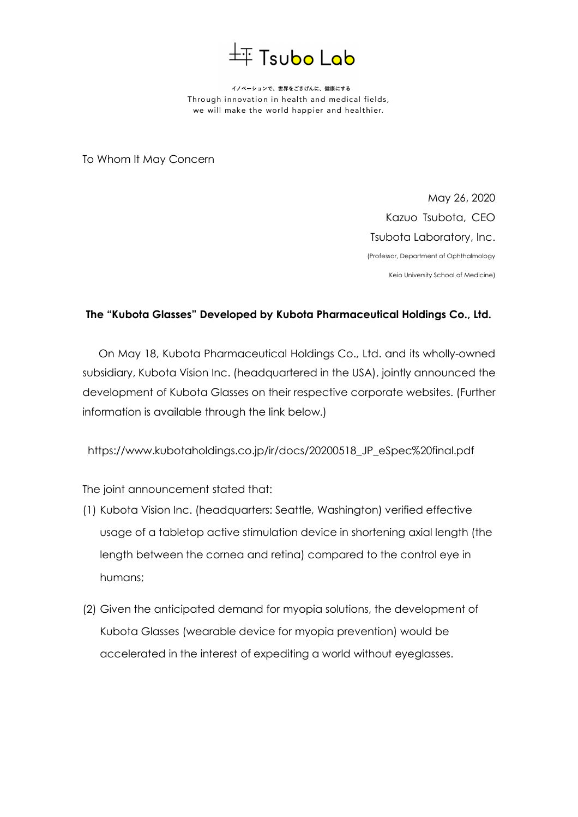

イノベーションで、世界をごきげんに、健康にする Through innovation in health and medical fields, we will make the world happier and healthier.

To Whom It May Concern

May 26, 2020 Kazuo Tsubota, CEO Tsubota Laboratory, Inc. (Professor, Department of Ophthalmology

Keio University School of Medicine)

## **The "Kubota Glasses" Developed by Kubota Pharmaceutical Holdings Co., Ltd.**

On May 18, Kubota Pharmaceutical Holdings Co., Ltd. and its wholly-owned subsidiary, Kubota Vision Inc. (headquartered in the USA), jointly announced the development of Kubota Glasses on their respective corporate websites. (Further information is available through the link below.)

https://www.kubotaholdings.co.jp/ir/docs/20200518\_JP\_eSpec%20final.pdf

The joint announcement stated that:

- (1) Kubota Vision Inc. (headquarters: Seattle, Washington) verified effective usage of a tabletop active stimulation device in shortening axial length (the length between the cornea and retina) compared to the control eye in humans;
- (2) Given the anticipated demand for myopia solutions, the development of Kubota Glasses (wearable device for myopia prevention) would be accelerated in the interest of expediting a world without eyeglasses.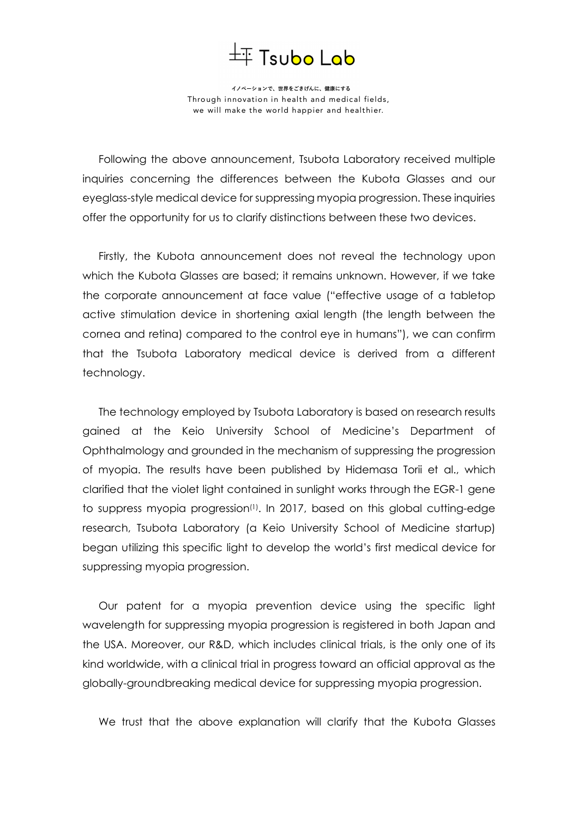

イノベーションで、世界をごきげんに、健康にする Through innovation in health and medical fields, we will make the world happier and healthier.

Following the above announcement, Tsubota Laboratory received multiple inquiries concerning the differences between the Kubota Glasses and our eyeglass-style medical device for suppressing myopia progression. These inquiries offer the opportunity for us to clarify distinctions between these two devices.

Firstly, the Kubota announcement does not reveal the technology upon which the Kubota Glasses are based; it remains unknown. However, if we take the corporate announcement at face value ("effective usage of a tabletop active stimulation device in shortening axial length (the length between the cornea and retina) compared to the control eye in humans"), we can confirm that the Tsubota Laboratory medical device is derived from a different technology.

The technology employed by Tsubota Laboratory is based on research results gained at the Keio University School of Medicine's Department of Ophthalmology and grounded in the mechanism of suppressing the progression of myopia. The results have been published by Hidemasa Torii et al., which clarified that the violet light contained in sunlight works through the EGR-1 gene to suppress myopia progression<sup>(1)</sup>. In 2017, based on this global cutting-edge research, Tsubota Laboratory (a Keio University School of Medicine startup) began utilizing this specific light to develop the world's first medical device for suppressing myopia progression.

Our patent for a myopia prevention device using the specific light wavelength for suppressing myopia progression is registered in both Japan and the USA. Moreover, our R&D, which includes clinical trials, is the only one of its kind worldwide, with a clinical trial in progress toward an official approval as the globally-groundbreaking medical device for suppressing myopia progression.

We trust that the above explanation will clarify that the Kubota Glasses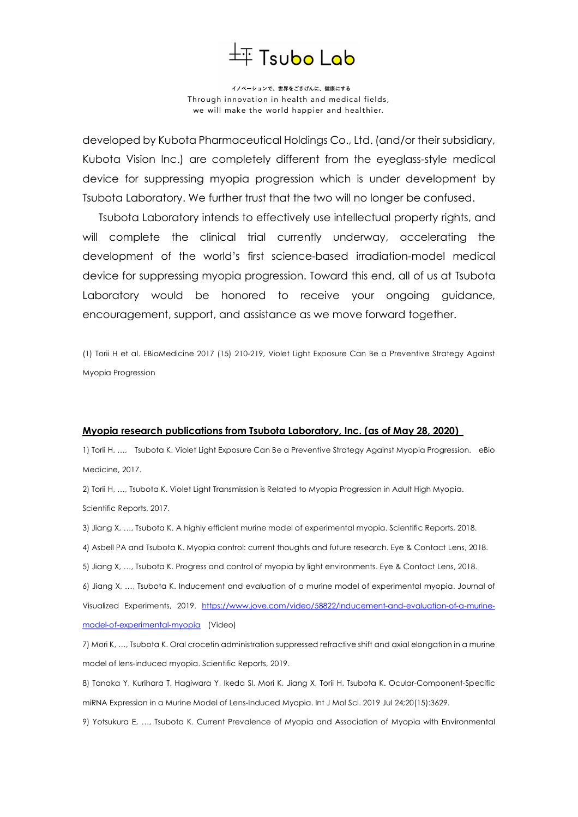## $\pm$  Tsubo Lab

イノベーションで、世界をごきげんに、健康にする Through innovation in health and medical fields, we will make the world happier and healthier.

developed by Kubota Pharmaceutical Holdings Co., Ltd. (and/or their subsidiary, Kubota Vision Inc.) are completely different from the eyeglass-style medical device for suppressing myopia progression which is under development by Tsubota Laboratory. We further trust that the two will no longer be confused.

Tsubota Laboratory intends to effectively use intellectual property rights, and will complete the clinical trial currently underway, accelerating the development of the world's first science-based irradiation-model medical device for suppressing myopia progression. Toward this end, all of us at Tsubota Laboratory would be honored to receive your ongoing guidance, encouragement, support, and assistance as we move forward together.

(1) Torii H et al. EBioMedicine 2017 (15) 210-219, Violet Light Exposure Can Be a Preventive Strategy Against Myopia Progression

## **Myopia research publications from Tsubota Laboratory, Inc. (as of May 28, 2020)**

1) Torii H, …, Tsubota K. Violet Light Exposure Can Be a Preventive Strategy Against Myopia Progression. eBio Medicine, 2017.

2) Torii H, …, Tsubota K. Violet Light Transmission is Related to Myopia Progression in Adult High Myopia. Scientific Reports, 2017.

3) Jiang X, …, Tsubota K. A highly efficient murine model of experimental myopia. Scientific Reports, 2018. 4) Asbell PA and Tsubota K. Myopia control: current thoughts and future research. Eye & Contact Lens, 2018.

5) Jiang X, …, Tsubota K. Progress and control of myopia by light environments. Eye & Contact Lens, 2018.

6) Jiang X, …, Tsubota K. Inducement and evaluation of a murine model of experimental myopia. Journal of Visualized Experiments, 2019. https://www.jove.com/video/58822/inducement-and-evaluation-of-a-murinemodel-of-experimental-myopia (Video)

7) Mori K, …, Tsubota K. Oral crocetin administration suppressed refractive shift and axial elongation in a murine model of lens-induced myopia. Scientific Reports, 2019.

8) Tanaka Y, Kurihara T, Hagiwara Y, Ikeda SI, Mori K, Jiang X, Torii H, Tsubota K. Ocular-Component-Specific miRNA Expression in a Murine Model of Lens-Induced Myopia. Int J Mol Sci. 2019 Jul 24;20(15):3629.

9) Yotsukura E, …, Tsubota K. Current Prevalence of Myopia and Association of Myopia with Environmental